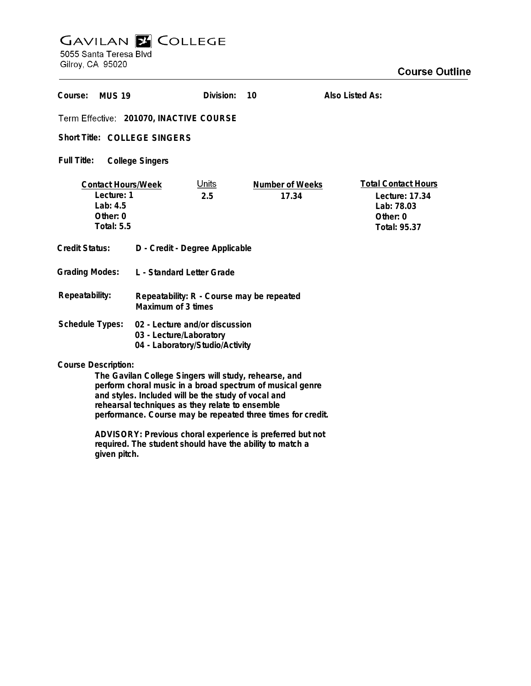## **GAVILAN E COLLEGE**

5055 Santa Teresa Blvd Gilroy, CA 95020

| Course:<br><b>MUS 19</b>                                                                                                                         |                                                                                              | Division:           | 10                       | Also Listed As:                                                                        |
|--------------------------------------------------------------------------------------------------------------------------------------------------|----------------------------------------------------------------------------------------------|---------------------|--------------------------|----------------------------------------------------------------------------------------|
| Term Effective: 201070, INACTIVE COURSE                                                                                                          |                                                                                              |                     |                          |                                                                                        |
| Short Title: COLLEGE SINGERS                                                                                                                     |                                                                                              |                     |                          |                                                                                        |
| Full Title:<br><b>College Singers</b>                                                                                                            |                                                                                              |                     |                          |                                                                                        |
| <b>Contact Hours/Week</b><br>Lecture: 1<br>Lab: $4.5$<br>Other: 0<br><b>Total: 5.5</b>                                                           |                                                                                              | <u>Units</u><br>2.5 | Number of Weeks<br>17.34 | <b>Total Contact Hours</b><br>Lecture: 17.34<br>Lab: 78.03<br>Other: 0<br>Total: 95.37 |
| Credit Status:                                                                                                                                   | D - Credit - Degree Applicable                                                               |                     |                          |                                                                                        |
| <b>Grading Modes:</b>                                                                                                                            | L - Standard Letter Grade                                                                    |                     |                          |                                                                                        |
| Repeatability:                                                                                                                                   | Repeatability: R - Course may be repeated<br>Maximum of 3 times                              |                     |                          |                                                                                        |
| Schedule Types:                                                                                                                                  | 02 - Lecture and/or discussion<br>03 - Lecture/Laboratory<br>04 - Laboratory/Studio/Activity |                     |                          |                                                                                        |
| <b>Course Description:</b><br>The Gavilan College Singers will study, rehearse, and<br>perform choral music in a broad spectrum of musical genre |                                                                                              |                     |                          |                                                                                        |

**perform choral music in a broad spectrum of musical genre and styles. Included will be the study of vocal and rehearsal techniques as they relate to ensemble performance. Course may be repeated three times for credit.**

**ADVISORY: Previous choral experience is preferred but not required. The student should have the ability to match a given pitch.**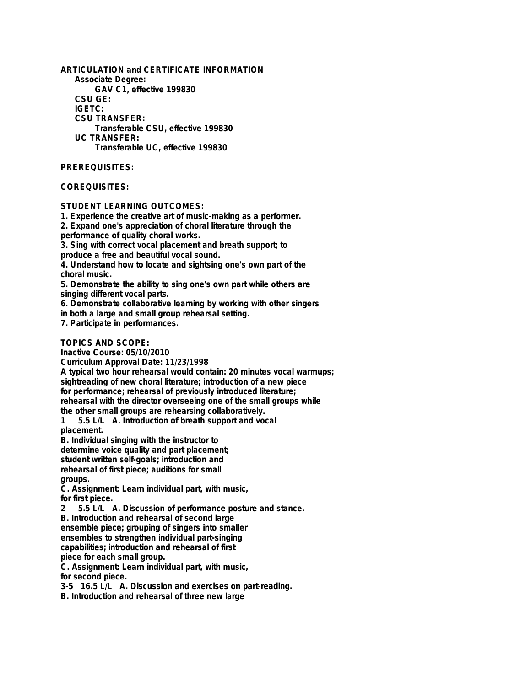**ARTICULATION and CERTIFICATE INFORMATION Associate Degree: GAV C1, effective 199830 CSU GE: IGETC: CSU TRANSFER: Transferable CSU, effective 199830 UC TRANSFER: Transferable UC, effective 199830**

## **PREREQUISITES:**

## **COREQUISITES:**

**STUDENT LEARNING OUTCOMES:**

**1. Experience the creative art of music-making as a performer.**

**2. Expand one's appreciation of choral literature through the performance of quality choral works.**

**3. Sing with correct vocal placement and breath support; to produce a free and beautiful vocal sound.**

**4. Understand how to locate and sightsing one's own part of the choral music.**

**5. Demonstrate the ability to sing one's own part while others are singing different vocal parts.**

**6. Demonstrate collaborative learning by working with other singers**

**in both a large and small group rehearsal setting.**

**7. Participate in performances.**

**TOPICS AND SCOPE:**

**Inactive Course: 05/10/2010**

**Curriculum Approval Date: 11/23/1998**

**A typical two hour rehearsal would contain: 20 minutes vocal warmups; sightreading of new choral literature; introduction of a new piece for performance; rehearsal of previously introduced literature; rehearsal with the director overseeing one of the small groups while**

**the other small groups are rehearsing collaboratively.**

**1 5.5 L/L A. Introduction of breath support and vocal placement.**

**B. Individual singing with the instructor to determine voice quality and part placement; student written self-goals; introduction and rehearsal of first piece; auditions for small groups.**

**C. Assignment: Learn individual part, with music, for first piece.**

**2 5.5 L/L A. Discussion of performance posture and stance.**

**B. Introduction and rehearsal of second large**

**ensemble piece; grouping of singers into smaller**

**ensembles to strengthen individual part-singing capabilities; introduction and rehearsal of first**

**piece for each small group.**

**C. Assignment: Learn individual part, with music, for second piece.**

**3-5 16.5 L/L A. Discussion and exercises on part-reading.**

**B. Introduction and rehearsal of three new large**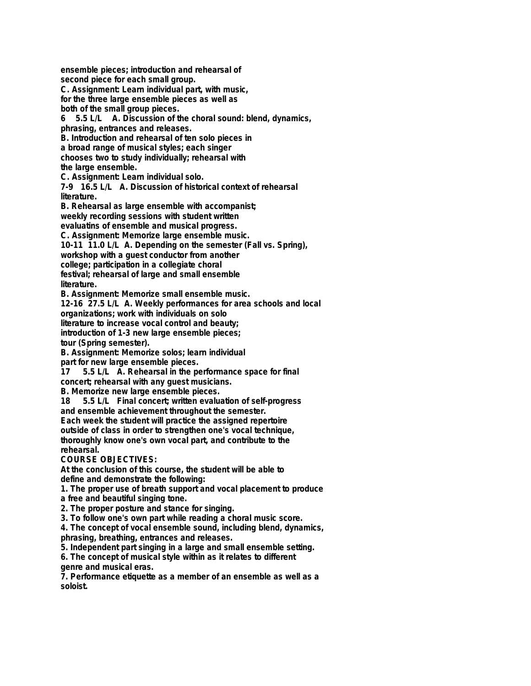**ensemble pieces; introduction and rehearsal of second piece for each small group.**

**C. Assignment: Learn individual part, with music, for the three large ensemble pieces as well as**

**both of the small group pieces.**

**6 5.5 L/L A. Discussion of the choral sound: blend, dynamics, phrasing, entrances and releases.**

**B. Introduction and rehearsal of ten solo pieces in**

**a broad range of musical styles; each singer**

**chooses two to study individually; rehearsal with**

**the large ensemble.**

**C. Assignment: Learn individual solo.**

**7-9 16.5 L/L A. Discussion of historical context of rehearsal literature.**

**B. Rehearsal as large ensemble with accompanist; weekly recording sessions with student written evaluatins of ensemble and musical progress.**

**C. Assignment: Memorize large ensemble music.**

**10-11 11.0 L/L A. Depending on the semester (Fall vs. Spring),**

**workshop with a guest conductor from another**

**college; participation in a collegiate choral**

**festival; rehearsal of large and small ensemble literature.**

**B. Assignment: Memorize small ensemble music.**

**12-16 27.5 L/L A. Weekly performances for area schools and local**

**organizations; work with individuals on solo**

**literature to increase vocal control and beauty;**

**introduction of 1-3 new large ensemble pieces;**

**tour (Spring semester).**

**B. Assignment: Memorize solos; learn individual**

**part for new large ensemble pieces.**

**17 5.5 L/L A. Rehearsal in the performance space for final concert; rehearsal with any guest musicians.**

**B. Memorize new large ensemble pieces.**

**18 5.5 L/L Final concert; written evaluation of self-progress and ensemble achievement throughout the semester.**

**Each week the student will practice the assigned repertoire outside of class in order to strengthen one's vocal technique, thoroughly know one's own vocal part, and contribute to the rehearsal.**

**COURSE OBJECTIVES:**

**At the conclusion of this course, the student will be able to define and demonstrate the following:**

**1. The proper use of breath support and vocal placement to produce a free and beautiful singing tone.**

**2. The proper posture and stance for singing.**

**3. To follow one's own part while reading a choral music score.**

**4. The concept of vocal ensemble sound, including blend, dynamics, phrasing, breathing, entrances and releases.**

**5. Independent part singing in a large and small ensemble setting.**

**6. The concept of musical style within as it relates to different genre and musical eras.**

**7. Performance etiquette as a member of an ensemble as well as a soloist.**